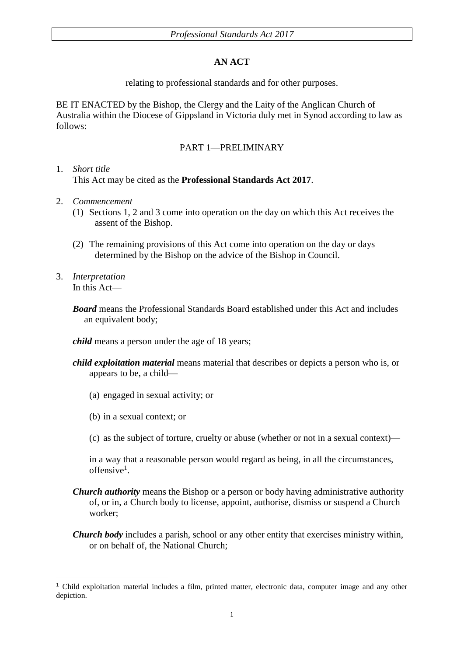## **AN ACT**

relating to professional standards and for other purposes.

BE IT ENACTED by the Bishop, the Clergy and the Laity of the Anglican Church of Australia within the Diocese of Gippsland in Victoria duly met in Synod according to law as follows:

## PART 1—PRELIMINARY

### 1. *Short title* This Act may be cited as the **Professional Standards Act 2017**.

- 2. *Commencement*
	- (1) Sections 1, 2 and 3 come into operation on the day on which this Act receives the assent of the Bishop.
	- (2) The remaining provisions of this Act come into operation on the day or days determined by the Bishop on the advice of the Bishop in Council.
- 3. *Interpretation* In this Act—

*Board* means the Professional Standards Board established under this Act and includes an equivalent body;

*child* means a person under the age of 18 years;

- *child exploitation material* means material that describes or depicts a person who is, or appears to be, a child—
	- (a) engaged in sexual activity; or
	- (b) in a sexual context; or
	- (c) as the subject of torture, cruelty or abuse (whether or not in a sexual context)—

in a way that a reasonable person would regard as being, in all the circumstances, offensive<sup>1</sup>.

- *Church authority* means the Bishop or a person or body having administrative authority of, or in, a Church body to license, appoint, authorise, dismiss or suspend a Church worker;
- *Church body* includes a parish, school or any other entity that exercises ministry within, or on behalf of, the National Church;

<sup>-</sup><sup>1</sup> Child exploitation material includes a film, printed matter, electronic data, computer image and any other depiction.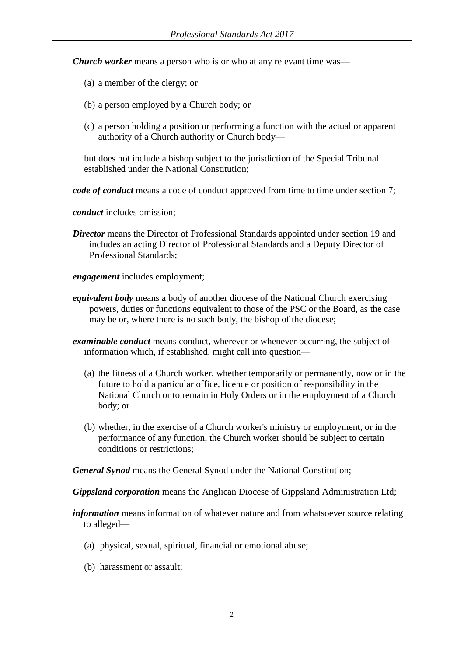*Church worker* means a person who is or who at any relevant time was—

- (a) a member of the clergy; or
- (b) a person employed by a Church body; or
- (c) a person holding a position or performing a function with the actual or apparent authority of a Church authority or Church body—

but does not include a bishop subject to the jurisdiction of the Special Tribunal established under the National Constitution;

*code of conduct* means a code of conduct approved from time to time under section 7;

*conduct* includes omission;

*Director* means the Director of Professional Standards appointed under section 19 and includes an acting Director of Professional Standards and a Deputy Director of Professional Standards;

*engagement* includes employment;

- *equivalent body* means a body of another diocese of the National Church exercising powers, duties or functions equivalent to those of the PSC or the Board, as the case may be or, where there is no such body, the bishop of the diocese;
- *examinable conduct* means conduct, wherever or whenever occurring, the subject of information which, if established, might call into question—
	- (a) the fitness of a Church worker, whether temporarily or permanently, now or in the future to hold a particular office, licence or position of responsibility in the National Church or to remain in Holy Orders or in the employment of a Church body; or
	- (b) whether, in the exercise of a Church worker's ministry or employment, or in the performance of any function, the Church worker should be subject to certain conditions or restrictions;

*General Synod* means the General Synod under the National Constitution;

*Gippsland corporation* means the Anglican Diocese of Gippsland Administration Ltd;

*information* means information of whatever nature and from whatsoever source relating to alleged—

- (a) physical, sexual, spiritual, financial or emotional abuse;
- (b) harassment or assault;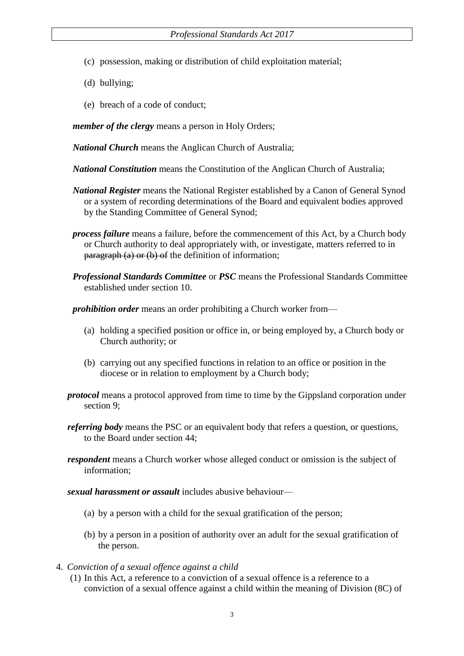- (c) possession, making or distribution of child exploitation material;
- (d) bullying;
- (e) breach of a code of conduct;

*member of the clergy* means a person in Holy Orders;

*National Church* means the Anglican Church of Australia;

- *National Constitution* means the Constitution of the Anglican Church of Australia;
- *National Register* means the National Register established by a Canon of General Synod or a system of recording determinations of the Board and equivalent bodies approved by the Standing Committee of General Synod;
- *process failure* means a failure, before the commencement of this Act, by a Church body or Church authority to deal appropriately with, or investigate, matters referred to in  $\frac{\text{pargraph}}{\text{a}}$  or (b) of the definition of information;
- *Professional Standards Committee* or *PSC* means the Professional Standards Committee established under section 10.

*prohibition order* means an order prohibiting a Church worker from—

- (a) holding a specified position or office in, or being employed by, a Church body or Church authority; or
- (b) carrying out any specified functions in relation to an office or position in the diocese or in relation to employment by a Church body;
- *protocol* means a protocol approved from time to time by the Gippsland corporation under section 9;
- *referring body* means the PSC or an equivalent body that refers a question, or questions, to the Board under section 44;
- *respondent* means a Church worker whose alleged conduct or omission is the subject of information;
- *sexual harassment or assault* includes abusive behaviour—
	- (a) by a person with a child for the sexual gratification of the person;
	- (b) by a person in a position of authority over an adult for the sexual gratification of the person.
- 4. *Conviction of a sexual offence against a child*
	- (1) In this Act, a reference to a conviction of a sexual offence is a reference to a conviction of a sexual offence against a child within the meaning of Division (8C) of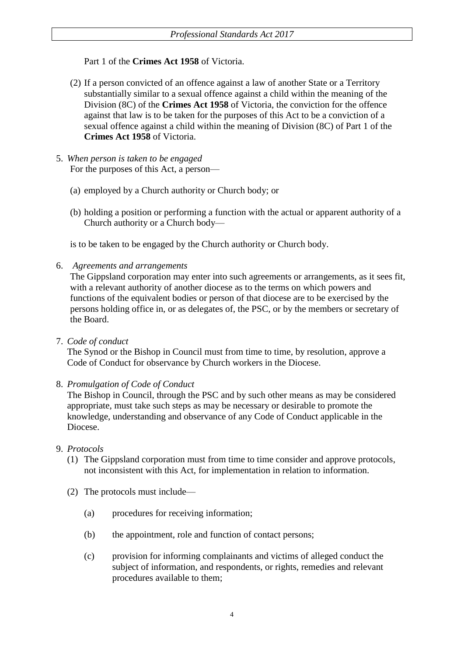## Part 1 of the **Crimes Act 1958** of Victoria.

- (2) If a person convicted of an offence against a law of another State or a Territory substantially similar to a sexual offence against a child within the meaning of the Division (8C) of the **Crimes Act 1958** of Victoria*,* the conviction for the offence against that law is to be taken for the purposes of this Act to be a conviction of a sexual offence against a child within the meaning of Division (8C) of Part 1 of the **Crimes Act 1958** of Victoria.
- 5. *When person is taken to be engaged* For the purposes of this Act, a person—
	- (a) employed by a Church authority or Church body; or
	- (b) holding a position or performing a function with the actual or apparent authority of a Church authority or a Church body—

is to be taken to be engaged by the Church authority or Church body.

6. *Agreements and arrangements*

The Gippsland corporation may enter into such agreements or arrangements, as it sees fit, with a relevant authority of another diocese as to the terms on which powers and functions of the equivalent bodies or person of that diocese are to be exercised by the persons holding office in, or as delegates of, the PSC, or by the members or secretary of the Board.

7. *Code of conduct*

The Synod or the Bishop in Council must from time to time, by resolution, approve a Code of Conduct for observance by Church workers in the Diocese.

8. *Promulgation of Code of Conduct*

The Bishop in Council, through the PSC and by such other means as may be considered appropriate, must take such steps as may be necessary or desirable to promote the knowledge, understanding and observance of any Code of Conduct applicable in the Diocese.

- 9. *Protocols*
	- (1) The Gippsland corporation must from time to time consider and approve protocols, not inconsistent with this Act, for implementation in relation to information.
	- (2) The protocols must include—
		- (a) procedures for receiving information;
		- (b) the appointment, role and function of contact persons;
		- (c) provision for informing complainants and victims of alleged conduct the subject of information, and respondents, or rights, remedies and relevant procedures available to them;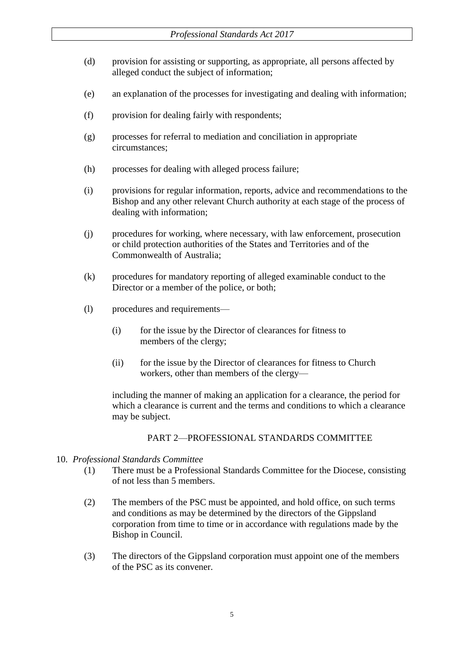- (d) provision for assisting or supporting, as appropriate, all persons affected by alleged conduct the subject of information;
- (e) an explanation of the processes for investigating and dealing with information;
- (f) provision for dealing fairly with respondents;
- (g) processes for referral to mediation and conciliation in appropriate circumstances;
- (h) processes for dealing with alleged process failure;
- (i) provisions for regular information, reports, advice and recommendations to the Bishop and any other relevant Church authority at each stage of the process of dealing with information;
- (j) procedures for working, where necessary, with law enforcement, prosecution or child protection authorities of the States and Territories and of the Commonwealth of Australia;
- (k) procedures for mandatory reporting of alleged examinable conduct to the Director or a member of the police, or both;
- (l) procedures and requirements—
	- (i) for the issue by the Director of clearances for fitness to members of the clergy;
	- (ii) for the issue by the Director of clearances for fitness to Church workers, other than members of the clergy—

including the manner of making an application for a clearance, the period for which a clearance is current and the terms and conditions to which a clearance may be subject.

### PART 2—PROFESSIONAL STANDARDS COMMITTEE

- 10. *Professional Standards Committee*
	- (1) There must be a Professional Standards Committee for the Diocese, consisting of not less than 5 members.
	- (2) The members of the PSC must be appointed, and hold office, on such terms and conditions as may be determined by the directors of the Gippsland corporation from time to time or in accordance with regulations made by the Bishop in Council.
	- (3) The directors of the Gippsland corporation must appoint one of the members of the PSC as its convener.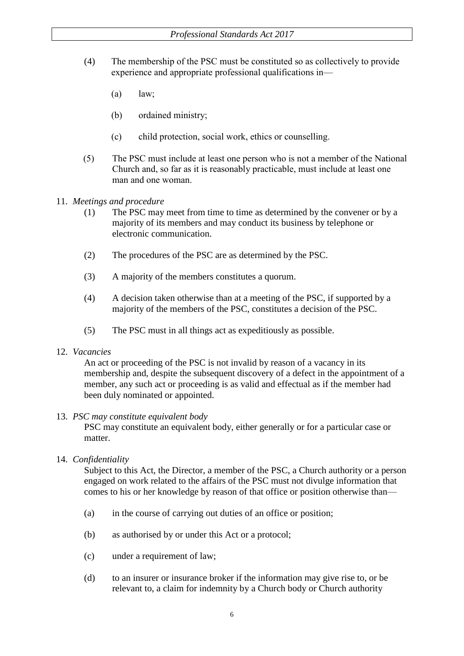- (4) The membership of the PSC must be constituted so as collectively to provide experience and appropriate professional qualifications in—
	- $\left( a\right)$   $\quad$  law;
	- (b) ordained ministry;
	- (c) child protection, social work, ethics or counselling.
- (5) The PSC must include at least one person who is not a member of the National Church and, so far as it is reasonably practicable, must include at least one man and one woman.
- 11. *Meetings and procedure*
	- (1) The PSC may meet from time to time as determined by the convener or by a majority of its members and may conduct its business by telephone or electronic communication.
	- (2) The procedures of the PSC are as determined by the PSC.
	- (3) A majority of the members constitutes a quorum.
	- (4) A decision taken otherwise than at a meeting of the PSC, if supported by a majority of the members of the PSC, constitutes a decision of the PSC.
	- (5) The PSC must in all things act as expeditiously as possible.

### 12. *Vacancies*

An act or proceeding of the PSC is not invalid by reason of a vacancy in its membership and, despite the subsequent discovery of a defect in the appointment of a member, any such act or proceeding is as valid and effectual as if the member had been duly nominated or appointed.

### 13. *PSC may constitute equivalent body*

PSC may constitute an equivalent body, either generally or for a particular case or matter.

## 14. *Confidentiality*

Subject to this Act, the Director, a member of the PSC, a Church authority or a person engaged on work related to the affairs of the PSC must not divulge information that comes to his or her knowledge by reason of that office or position otherwise than—

- (a) in the course of carrying out duties of an office or position;
- (b) as authorised by or under this Act or a protocol;
- (c) under a requirement of law;
- (d) to an insurer or insurance broker if the information may give rise to, or be relevant to, a claim for indemnity by a Church body or Church authority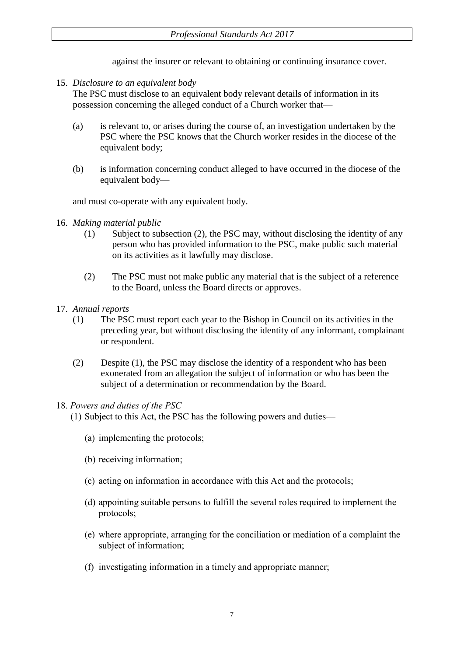against the insurer or relevant to obtaining or continuing insurance cover.

15. *Disclosure to an equivalent body*

The PSC must disclose to an equivalent body relevant details of information in its possession concerning the alleged conduct of a Church worker that—

- (a) is relevant to, or arises during the course of, an investigation undertaken by the PSC where the PSC knows that the Church worker resides in the diocese of the equivalent body;
- (b) is information concerning conduct alleged to have occurred in the diocese of the equivalent body—

and must co-operate with any equivalent body.

- 16. *Making material public*
	- (1) Subject to subsection (2), the PSC may, without disclosing the identity of any person who has provided information to the PSC, make public such material on its activities as it lawfully may disclose.
	- (2) The PSC must not make public any material that is the subject of a reference to the Board, unless the Board directs or approves.
- 17. *Annual reports*
	- (1) The PSC must report each year to the Bishop in Council on its activities in the preceding year, but without disclosing the identity of any informant, complainant or respondent.
	- (2) Despite (1), the PSC may disclose the identity of a respondent who has been exonerated from an allegation the subject of information or who has been the subject of a determination or recommendation by the Board.

## 18. *Powers and duties of the PSC*

(1) Subject to this Act, the PSC has the following powers and duties—

- (a) implementing the protocols;
- (b) receiving information;
- (c) acting on information in accordance with this Act and the protocols;
- (d) appointing suitable persons to fulfill the several roles required to implement the protocols;
- (e) where appropriate, arranging for the conciliation or mediation of a complaint the subject of information;
- (f) investigating information in a timely and appropriate manner;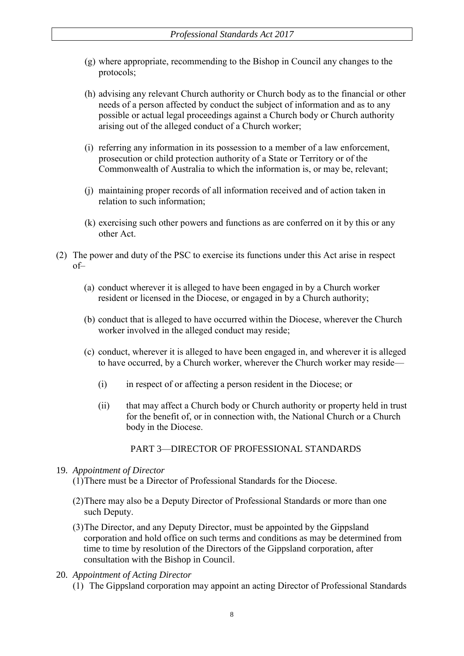- (g) where appropriate, recommending to the Bishop in Council any changes to the protocols;
- (h) advising any relevant Church authority or Church body as to the financial or other needs of a person affected by conduct the subject of information and as to any possible or actual legal proceedings against a Church body or Church authority arising out of the alleged conduct of a Church worker;
- (i) referring any information in its possession to a member of a law enforcement, prosecution or child protection authority of a State or Territory or of the Commonwealth of Australia to which the information is, or may be, relevant;
- (j) maintaining proper records of all information received and of action taken in relation to such information;
- (k) exercising such other powers and functions as are conferred on it by this or any other Act.
- (2) The power and duty of the PSC to exercise its functions under this Act arise in respect of–
	- (a) conduct wherever it is alleged to have been engaged in by a Church worker resident or licensed in the Diocese, or engaged in by a Church authority;
	- (b) conduct that is alleged to have occurred within the Diocese, wherever the Church worker involved in the alleged conduct may reside;
	- (c) conduct, wherever it is alleged to have been engaged in, and wherever it is alleged to have occurred, by a Church worker, wherever the Church worker may reside—
		- (i) in respect of or affecting a person resident in the Diocese; or
		- (ii) that may affect a Church body or Church authority or property held in trust for the benefit of, or in connection with, the National Church or a Church body in the Diocese.

PART 3—DIRECTOR OF PROFESSIONAL STANDARDS

#### 19. *Appointment of Director*

(1)There must be a Director of Professional Standards for the Diocese.

- (2)There may also be a Deputy Director of Professional Standards or more than one such Deputy.
- (3)The Director, and any Deputy Director, must be appointed by the Gippsland corporation and hold office on such terms and conditions as may be determined from time to time by resolution of the Directors of the Gippsland corporation, after consultation with the Bishop in Council.

#### 20. *Appointment of Acting Director*

(1) The Gippsland corporation may appoint an acting Director of Professional Standards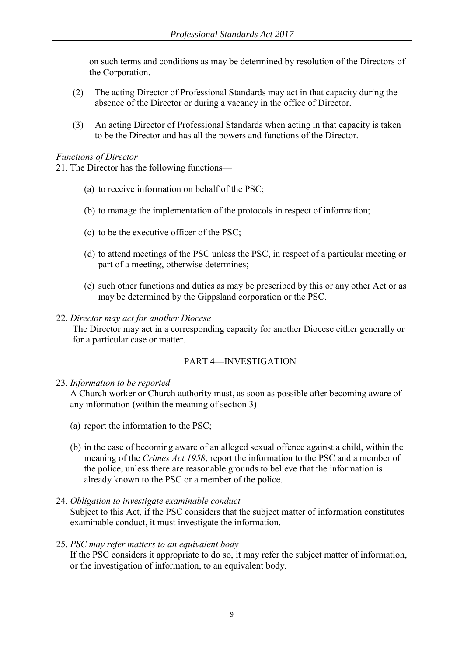on such terms and conditions as may be determined by resolution of the Directors of the Corporation.

- (2) The acting Director of Professional Standards may act in that capacity during the absence of the Director or during a vacancy in the office of Director.
- (3) An acting Director of Professional Standards when acting in that capacity is taken to be the Director and has all the powers and functions of the Director.

#### *Functions of Director*

21. The Director has the following functions—

- (a) to receive information on behalf of the PSC;
- (b) to manage the implementation of the protocols in respect of information;
- (c) to be the executive officer of the PSC;
- (d) to attend meetings of the PSC unless the PSC, in respect of a particular meeting or part of a meeting, otherwise determines;
- (e) such other functions and duties as may be prescribed by this or any other Act or as may be determined by the Gippsland corporation or the PSC.

#### 22. *Director may act for another Diocese*

The Director may act in a corresponding capacity for another Diocese either generally or for a particular case or matter.

### PART 4—INVESTIGATION

### 23. *Information to be reported*

A Church worker or Church authority must, as soon as possible after becoming aware of any information (within the meaning of section 3)—

- (a) report the information to the PSC;
- (b) in the case of becoming aware of an alleged sexual offence against a child, within the meaning of the *Crimes Act 1958*, report the information to the PSC and a member of the police, unless there are reasonable grounds to believe that the information is already known to the PSC or a member of the police.
- 24. *Obligation to investigate examinable conduct*

Subject to this Act, if the PSC considers that the subject matter of information constitutes examinable conduct, it must investigate the information.

#### 25. *PSC may refer matters to an equivalent body*

If the PSC considers it appropriate to do so, it may refer the subject matter of information, or the investigation of information, to an equivalent body.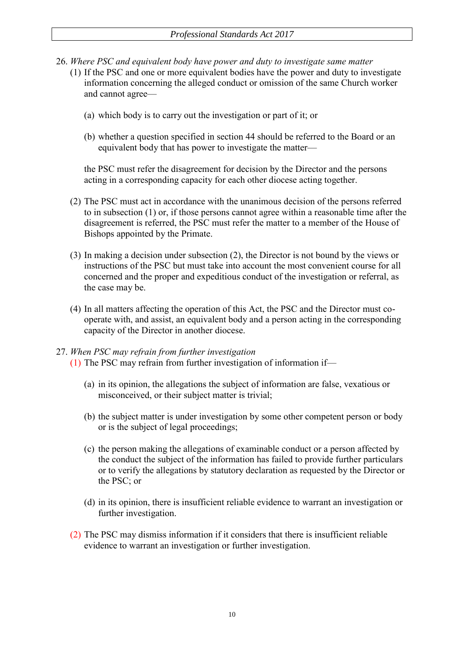- 26. *Where PSC and equivalent body have power and duty to investigate same matter* 
	- (1) If the PSC and one or more equivalent bodies have the power and duty to investigate information concerning the alleged conduct or omission of the same Church worker and cannot agree—
		- (a) which body is to carry out the investigation or part of it; or
		- (b) whether a question specified in section 44 should be referred to the Board or an equivalent body that has power to investigate the matter—

the PSC must refer the disagreement for decision by the Director and the persons acting in a corresponding capacity for each other diocese acting together.

- (2) The PSC must act in accordance with the unanimous decision of the persons referred to in subsection (1) or, if those persons cannot agree within a reasonable time after the disagreement is referred, the PSC must refer the matter to a member of the House of Bishops appointed by the Primate.
- (3) In making a decision under subsection (2), the Director is not bound by the views or instructions of the PSC but must take into account the most convenient course for all concerned and the proper and expeditious conduct of the investigation or referral, as the case may be.
- (4) In all matters affecting the operation of this Act, the PSC and the Director must cooperate with, and assist, an equivalent body and a person acting in the corresponding capacity of the Director in another diocese.

## 27. *When PSC may refrain from further investigation*

- (1) The PSC may refrain from further investigation of information if—
	- (a) in its opinion, the allegations the subject of information are false, vexatious or misconceived, or their subject matter is trivial;
	- (b) the subject matter is under investigation by some other competent person or body or is the subject of legal proceedings;
	- (c) the person making the allegations of examinable conduct or a person affected by the conduct the subject of the information has failed to provide further particulars or to verify the allegations by statutory declaration as requested by the Director or the PSC; or
	- (d) in its opinion, there is insufficient reliable evidence to warrant an investigation or further investigation.
- (2) The PSC may dismiss information if it considers that there is insufficient reliable evidence to warrant an investigation or further investigation.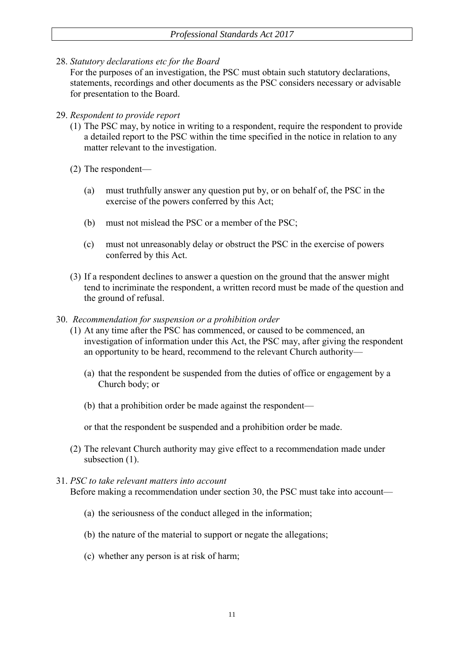28. *Statutory declarations etc for the Board*

For the purposes of an investigation, the PSC must obtain such statutory declarations, statements, recordings and other documents as the PSC considers necessary or advisable for presentation to the Board.

#### 29. *Respondent to provide report*

- (1) The PSC may, by notice in writing to a respondent, require the respondent to provide a detailed report to the PSC within the time specified in the notice in relation to any matter relevant to the investigation.
- (2) The respondent—
	- (a) must truthfully answer any question put by, or on behalf of, the PSC in the exercise of the powers conferred by this Act;
	- (b) must not mislead the PSC or a member of the PSC;
	- (c) must not unreasonably delay or obstruct the PSC in the exercise of powers conferred by this Act.
- (3) If a respondent declines to answer a question on the ground that the answer might tend to incriminate the respondent, a written record must be made of the question and the ground of refusal.
- 30. *Recommendation for suspension or a prohibition order*
	- (1) At any time after the PSC has commenced, or caused to be commenced, an investigation of information under this Act, the PSC may, after giving the respondent an opportunity to be heard, recommend to the relevant Church authority—
		- (a) that the respondent be suspended from the duties of office or engagement by a Church body; or
		- (b) that a prohibition order be made against the respondent—

or that the respondent be suspended and a prohibition order be made.

(2) The relevant Church authority may give effect to a recommendation made under subsection  $(1)$ .

#### 31. *PSC to take relevant matters into account*

Before making a recommendation under section 30, the PSC must take into account—

- (a) the seriousness of the conduct alleged in the information;
- (b) the nature of the material to support or negate the allegations;
- (c) whether any person is at risk of harm;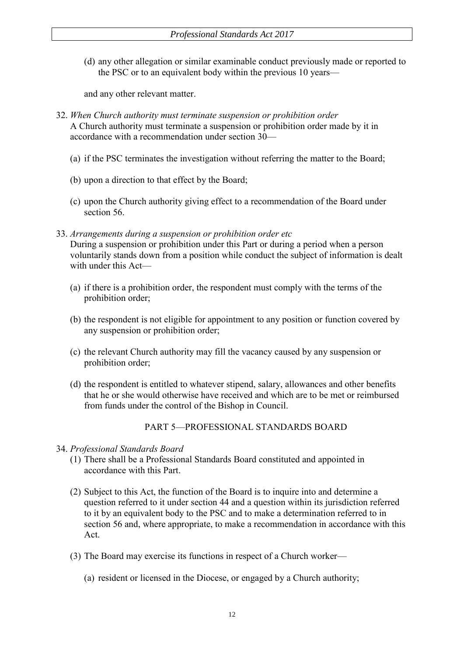(d) any other allegation or similar examinable conduct previously made or reported to the PSC or to an equivalent body within the previous 10 years—

and any other relevant matter.

- 32. *When Church authority must terminate suspension or prohibition order* A Church authority must terminate a suspension or prohibition order made by it in accordance with a recommendation under section 30—
	- (a) if the PSC terminates the investigation without referring the matter to the Board;
	- (b) upon a direction to that effect by the Board;
	- (c) upon the Church authority giving effect to a recommendation of the Board under section 56.
- 33. *Arrangements during a suspension or prohibition order etc* During a suspension or prohibition under this Part or during a period when a person voluntarily stands down from a position while conduct the subject of information is dealt with under this Act-
	- (a) if there is a prohibition order, the respondent must comply with the terms of the prohibition order;
	- (b) the respondent is not eligible for appointment to any position or function covered by any suspension or prohibition order;
	- (c) the relevant Church authority may fill the vacancy caused by any suspension or prohibition order;
	- (d) the respondent is entitled to whatever stipend, salary, allowances and other benefits that he or she would otherwise have received and which are to be met or reimbursed from funds under the control of the Bishop in Council.

PART 5—PROFESSIONAL STANDARDS BOARD

- 34. *Professional Standards Board*
	- (1) There shall be a Professional Standards Board constituted and appointed in accordance with this Part.
	- (2) Subject to this Act, the function of the Board is to inquire into and determine a question referred to it under section 44 and a question within its jurisdiction referred to it by an equivalent body to the PSC and to make a determination referred to in section 56 and, where appropriate, to make a recommendation in accordance with this Act.
	- (3) The Board may exercise its functions in respect of a Church worker—
		- (a) resident or licensed in the Diocese, or engaged by a Church authority;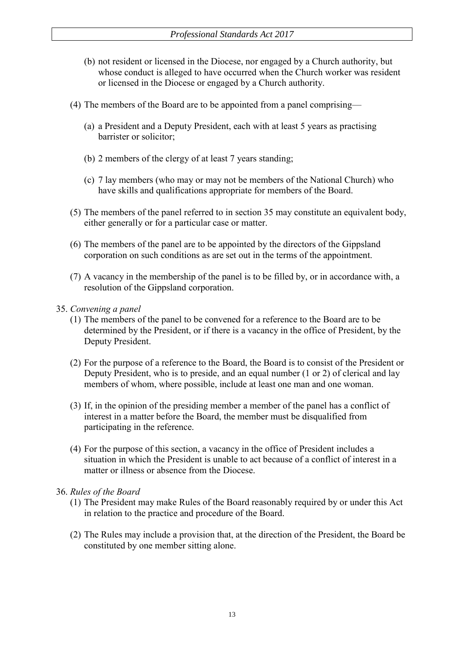- (b) not resident or licensed in the Diocese, nor engaged by a Church authority, but whose conduct is alleged to have occurred when the Church worker was resident or licensed in the Diocese or engaged by a Church authority.
- (4) The members of the Board are to be appointed from a panel comprising—
	- (a) a President and a Deputy President, each with at least 5 years as practising barrister or solicitor;
	- (b) 2 members of the clergy of at least 7 years standing;
	- (c) 7 lay members (who may or may not be members of the National Church) who have skills and qualifications appropriate for members of the Board.
- (5) The members of the panel referred to in section 35 may constitute an equivalent body, either generally or for a particular case or matter.
- (6) The members of the panel are to be appointed by the directors of the Gippsland corporation on such conditions as are set out in the terms of the appointment.
- (7) A vacancy in the membership of the panel is to be filled by, or in accordance with, a resolution of the Gippsland corporation.
- 35. *Convening a panel*
	- (1) The members of the panel to be convened for a reference to the Board are to be determined by the President, or if there is a vacancy in the office of President, by the Deputy President.
	- (2) For the purpose of a reference to the Board, the Board is to consist of the President or Deputy President, who is to preside, and an equal number (1 or 2) of clerical and lay members of whom, where possible, include at least one man and one woman.
	- (3) If, in the opinion of the presiding member a member of the panel has a conflict of interest in a matter before the Board, the member must be disqualified from participating in the reference.
	- (4) For the purpose of this section, a vacancy in the office of President includes a situation in which the President is unable to act because of a conflict of interest in a matter or illness or absence from the Diocese.
- 36. *Rules of the Board*
	- (1) The President may make Rules of the Board reasonably required by or under this Act in relation to the practice and procedure of the Board.
	- (2) The Rules may include a provision that, at the direction of the President, the Board be constituted by one member sitting alone.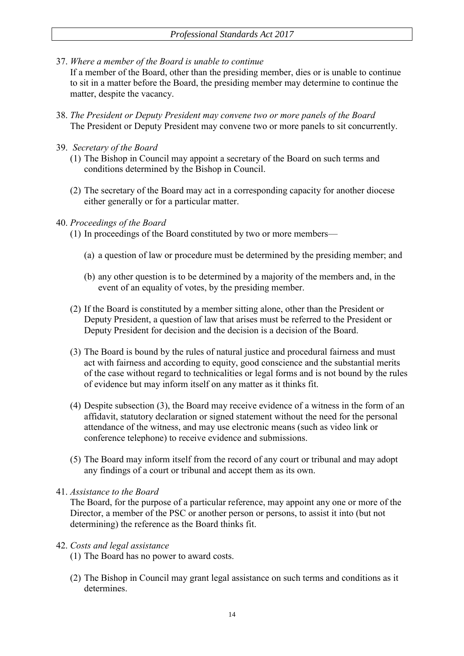37. *Where a member of the Board is unable to continue*

If a member of the Board, other than the presiding member, dies or is unable to continue to sit in a matter before the Board, the presiding member may determine to continue the matter, despite the vacancy.

- 38. *The President or Deputy President may convene two or more panels of the Board* The President or Deputy President may convene two or more panels to sit concurrently.
- 39. *Secretary of the Board*
	- (1) The Bishop in Council may appoint a secretary of the Board on such terms and conditions determined by the Bishop in Council.
	- (2) The secretary of the Board may act in a corresponding capacity for another diocese either generally or for a particular matter.

### 40. *Proceedings of the Board*

- (1) In proceedings of the Board constituted by two or more members—
	- (a) a question of law or procedure must be determined by the presiding member; and
	- (b) any other question is to be determined by a majority of the members and, in the event of an equality of votes, by the presiding member.
- (2) If the Board is constituted by a member sitting alone, other than the President or Deputy President, a question of law that arises must be referred to the President or Deputy President for decision and the decision is a decision of the Board.
- (3) The Board is bound by the rules of natural justice and procedural fairness and must act with fairness and according to equity, good conscience and the substantial merits of the case without regard to technicalities or legal forms and is not bound by the rules of evidence but may inform itself on any matter as it thinks fit.
- (4) Despite subsection (3), the Board may receive evidence of a witness in the form of an affidavit, statutory declaration or signed statement without the need for the personal attendance of the witness, and may use electronic means (such as video link or conference telephone) to receive evidence and submissions.
- (5) The Board may inform itself from the record of any court or tribunal and may adopt any findings of a court or tribunal and accept them as its own.
- 41. *Assistance to the Board*

The Board, for the purpose of a particular reference, may appoint any one or more of the Director, a member of the PSC or another person or persons, to assist it into (but not determining) the reference as the Board thinks fit.

### 42. *Costs and legal assistance*

- (1) The Board has no power to award costs.
- (2) The Bishop in Council may grant legal assistance on such terms and conditions as it determines.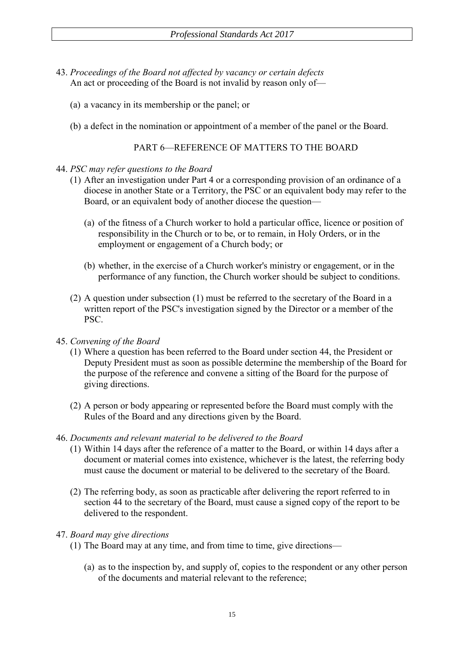- 43. *Proceedings of the Board not affected by vacancy or certain defects* An act or proceeding of the Board is not invalid by reason only of—
	- (a) a vacancy in its membership or the panel; or
	- (b) a defect in the nomination or appointment of a member of the panel or the Board.

PART 6—REFERENCE OF MATTERS TO THE BOARD

#### 44. *PSC may refer questions to the Board*

- (1) After an investigation under Part 4 or a corresponding provision of an ordinance of a diocese in another State or a Territory, the PSC or an equivalent body may refer to the Board, or an equivalent body of another diocese the question—
	- (a) of the fitness of a Church worker to hold a particular office, licence or position of responsibility in the Church or to be, or to remain, in Holy Orders, or in the employment or engagement of a Church body; or
	- (b) whether, in the exercise of a Church worker's ministry or engagement, or in the performance of any function, the Church worker should be subject to conditions.
- (2) A question under subsection (1) must be referred to the secretary of the Board in a written report of the PSC's investigation signed by the Director or a member of the PSC.
- 45. *Convening of the Board*
	- (1) Where a question has been referred to the Board under section 44, the President or Deputy President must as soon as possible determine the membership of the Board for the purpose of the reference and convene a sitting of the Board for the purpose of giving directions.
	- (2) A person or body appearing or represented before the Board must comply with the Rules of the Board and any directions given by the Board.

#### 46. *Documents and relevant material to be delivered to the Board*

- (1) Within 14 days after the reference of a matter to the Board, or within 14 days after a document or material comes into existence, whichever is the latest, the referring body must cause the document or material to be delivered to the secretary of the Board.
- (2) The referring body, as soon as practicable after delivering the report referred to in section 44 to the secretary of the Board, must cause a signed copy of the report to be delivered to the respondent.

### 47. *Board may give directions*

- (1) The Board may at any time, and from time to time, give directions—
	- (a) as to the inspection by, and supply of, copies to the respondent or any other person of the documents and material relevant to the reference;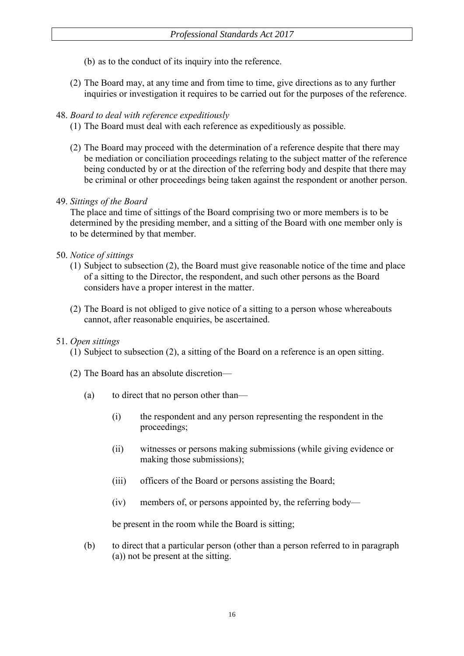- (b) as to the conduct of its inquiry into the reference.
- (2) The Board may, at any time and from time to time, give directions as to any further inquiries or investigation it requires to be carried out for the purposes of the reference.

## 48. *Board to deal with reference expeditiously*

- (1) The Board must deal with each reference as expeditiously as possible.
- (2) The Board may proceed with the determination of a reference despite that there may be mediation or conciliation proceedings relating to the subject matter of the reference being conducted by or at the direction of the referring body and despite that there may be criminal or other proceedings being taken against the respondent or another person.

### 49. *Sittings of the Board*

The place and time of sittings of the Board comprising two or more members is to be determined by the presiding member, and a sitting of the Board with one member only is to be determined by that member.

### 50. *Notice of sittings*

- (1) Subject to subsection (2), the Board must give reasonable notice of the time and place of a sitting to the Director, the respondent, and such other persons as the Board considers have a proper interest in the matter.
- (2) The Board is not obliged to give notice of a sitting to a person whose whereabouts cannot, after reasonable enquiries, be ascertained.

### 51. *Open sittings*

(1) Subject to subsection (2), a sitting of the Board on a reference is an open sitting.

- (2) The Board has an absolute discretion—
	- (a) to direct that no person other than—
		- (i) the respondent and any person representing the respondent in the proceedings;
		- (ii) witnesses or persons making submissions (while giving evidence or making those submissions);
		- (iii) officers of the Board or persons assisting the Board;
		- (iv) members of, or persons appointed by, the referring body—

be present in the room while the Board is sitting;

(b) to direct that a particular person (other than a person referred to in paragraph (a)) not be present at the sitting.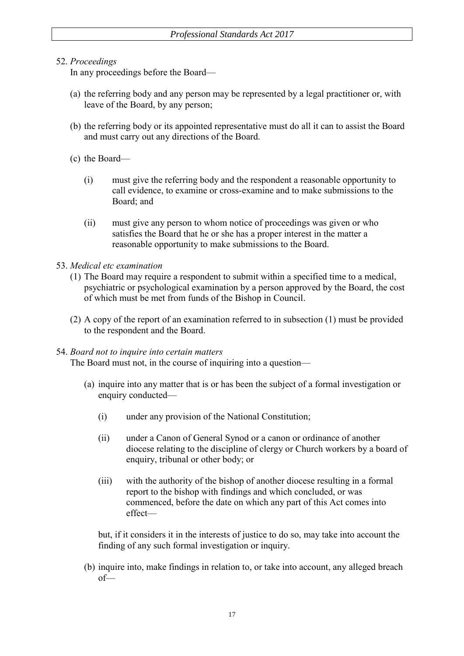## 52. *Proceedings*

In any proceedings before the Board—

- (a) the referring body and any person may be represented by a legal practitioner or, with leave of the Board, by any person;
- (b) the referring body or its appointed representative must do all it can to assist the Board and must carry out any directions of the Board.
- (c) the Board—
	- (i) must give the referring body and the respondent a reasonable opportunity to call evidence, to examine or cross-examine and to make submissions to the Board; and
	- (ii) must give any person to whom notice of proceedings was given or who satisfies the Board that he or she has a proper interest in the matter a reasonable opportunity to make submissions to the Board.

### 53. *Medical etc examination*

- (1) The Board may require a respondent to submit within a specified time to a medical, psychiatric or psychological examination by a person approved by the Board, the cost of which must be met from funds of the Bishop in Council.
- (2) A copy of the report of an examination referred to in subsection (1) must be provided to the respondent and the Board.

### 54. *Board not to inquire into certain matters*

The Board must not, in the course of inquiring into a question—

- (a) inquire into any matter that is or has been the subject of a formal investigation or enquiry conducted—
	- (i) under any provision of the National Constitution;
	- (ii) under a Canon of General Synod or a canon or ordinance of another diocese relating to the discipline of clergy or Church workers by a board of enquiry, tribunal or other body; or
	- (iii) with the authority of the bishop of another diocese resulting in a formal report to the bishop with findings and which concluded, or was commenced, before the date on which any part of this Act comes into effect—

but, if it considers it in the interests of justice to do so, may take into account the finding of any such formal investigation or inquiry.

(b) inquire into, make findings in relation to, or take into account, any alleged breach of—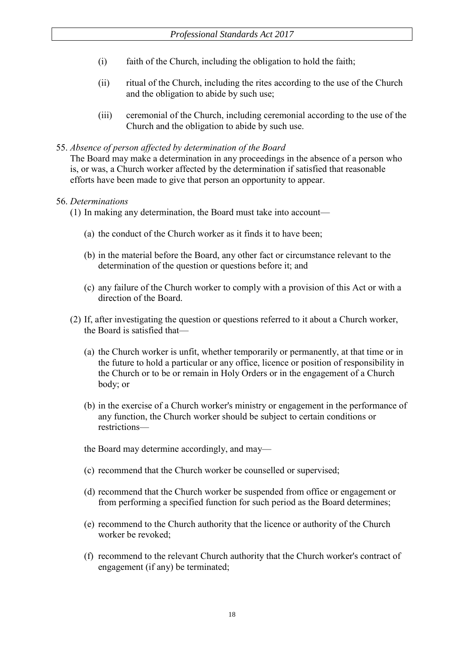- (i) faith of the Church, including the obligation to hold the faith;
- (ii) ritual of the Church, including the rites according to the use of the Church and the obligation to abide by such use;
- (iii) ceremonial of the Church, including ceremonial according to the use of the Church and the obligation to abide by such use.

### 55. *Absence of person affected by determination of the Board*

The Board may make a determination in any proceedings in the absence of a person who is, or was, a Church worker affected by the determination if satisfied that reasonable efforts have been made to give that person an opportunity to appear.

### 56. *Determinations*

(1) In making any determination, the Board must take into account—

- (a) the conduct of the Church worker as it finds it to have been;
- (b) in the material before the Board, any other fact or circumstance relevant to the determination of the question or questions before it; and
- (c) any failure of the Church worker to comply with a provision of this Act or with a direction of the Board.
- (2) If, after investigating the question or questions referred to it about a Church worker, the Board is satisfied that—
	- (a) the Church worker is unfit, whether temporarily or permanently, at that time or in the future to hold a particular or any office, licence or position of responsibility in the Church or to be or remain in Holy Orders or in the engagement of a Church body; or
	- (b) in the exercise of a Church worker's ministry or engagement in the performance of any function, the Church worker should be subject to certain conditions or restrictions—
	- the Board may determine accordingly, and may—
	- (c) recommend that the Church worker be counselled or supervised;
	- (d) recommend that the Church worker be suspended from office or engagement or from performing a specified function for such period as the Board determines;
	- (e) recommend to the Church authority that the licence or authority of the Church worker be revoked;
	- (f) recommend to the relevant Church authority that the Church worker's contract of engagement (if any) be terminated;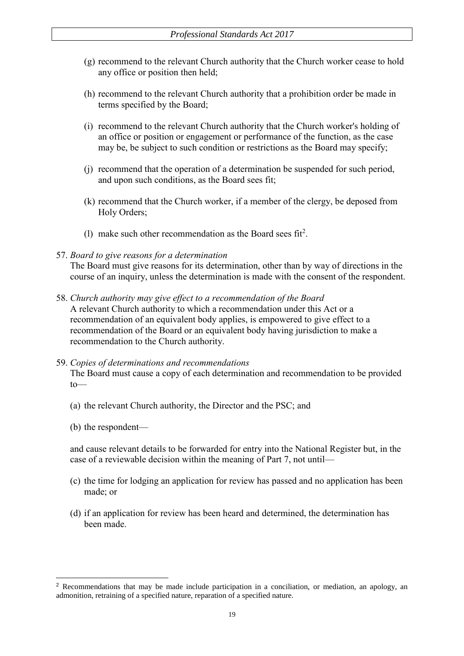- (g) recommend to the relevant Church authority that the Church worker cease to hold any office or position then held;
- (h) recommend to the relevant Church authority that a prohibition order be made in terms specified by the Board;
- (i) recommend to the relevant Church authority that the Church worker's holding of an office or position or engagement or performance of the function, as the case may be, be subject to such condition or restrictions as the Board may specify;
- (j) recommend that the operation of a determination be suspended for such period, and upon such conditions, as the Board sees fit;
- (k) recommend that the Church worker, if a member of the clergy, be deposed from Holy Orders;
- (1) make such other recommendation as the Board sees  $fit^2$ .

#### 57. *Board to give reasons for a determination*

The Board must give reasons for its determination, other than by way of directions in the course of an inquiry, unless the determination is made with the consent of the respondent.

- 58. *Church authority may give effect to a recommendation of the Board* A relevant Church authority to which a recommendation under this Act or a recommendation of an equivalent body applies, is empowered to give effect to a recommendation of the Board or an equivalent body having jurisdiction to make a recommendation to the Church authority.
- 59. *Copies of determinations and recommendations* The Board must cause a copy of each determination and recommendation to be provided to—
	- (a) the relevant Church authority, the Director and the PSC; and
	- (b) the respondent—

-

and cause relevant details to be forwarded for entry into the National Register but, in the case of a reviewable decision within the meaning of Part 7, not until—

- (c) the time for lodging an application for review has passed and no application has been made; or
- (d) if an application for review has been heard and determined, the determination has been made.

<sup>2</sup> Recommendations that may be made include participation in a conciliation, or mediation, an apology, an admonition, retraining of a specified nature, reparation of a specified nature.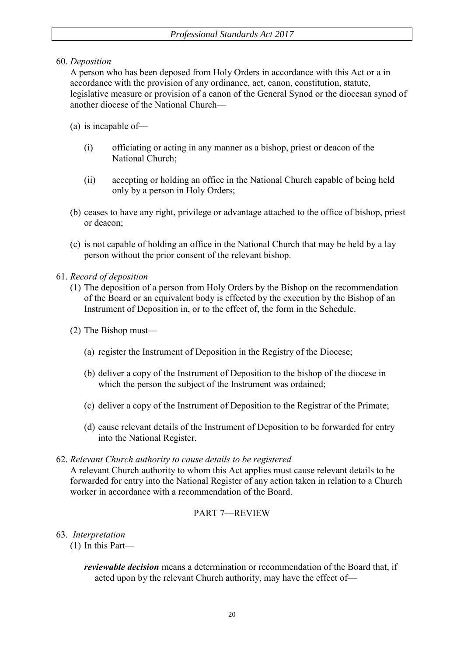60. *Deposition*

A person who has been deposed from Holy Orders in accordance with this Act or a in accordance with the provision of any ordinance, act, canon, constitution, statute, legislative measure or provision of a canon of the General Synod or the diocesan synod of another diocese of the National Church—

(a) is incapable of—

- (i) officiating or acting in any manner as a bishop, priest or deacon of the National Church;
- (ii) accepting or holding an office in the National Church capable of being held only by a person in Holy Orders;
- (b) ceases to have any right, privilege or advantage attached to the office of bishop, priest or deacon;
- (c) is not capable of holding an office in the National Church that may be held by a lay person without the prior consent of the relevant bishop.
- 61. *Record of deposition*
	- (1) The deposition of a person from Holy Orders by the Bishop on the recommendation of the Board or an equivalent body is effected by the execution by the Bishop of an Instrument of Deposition in, or to the effect of, the form in the Schedule.
	- (2) The Bishop must—
		- (a) register the Instrument of Deposition in the Registry of the Diocese;
		- (b) deliver a copy of the Instrument of Deposition to the bishop of the diocese in which the person the subject of the Instrument was ordained;
		- (c) deliver a copy of the Instrument of Deposition to the Registrar of the Primate;
		- (d) cause relevant details of the Instrument of Deposition to be forwarded for entry into the National Register.

### 62. *Relevant Church authority to cause details to be registered*

A relevant Church authority to whom this Act applies must cause relevant details to be forwarded for entry into the National Register of any action taken in relation to a Church worker in accordance with a recommendation of the Board.

## PART 7—REVIEW

- 63. *Interpretation*
	- (1) In this Part—

*reviewable decision* means a determination or recommendation of the Board that, if acted upon by the relevant Church authority, may have the effect of—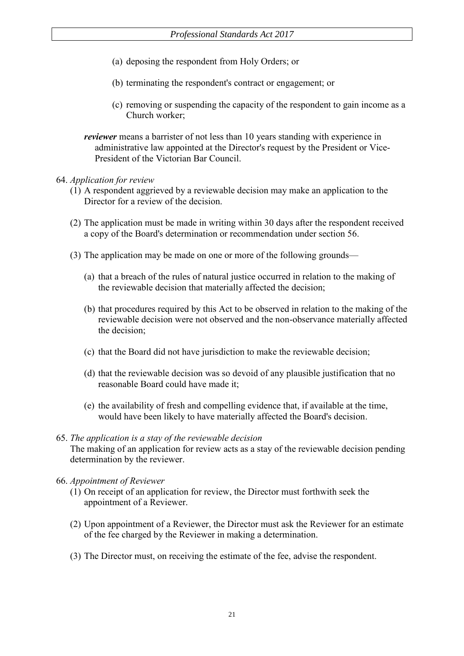- (a) deposing the respondent from Holy Orders; or
- (b) terminating the respondent's contract or engagement; or
- (c) removing or suspending the capacity of the respondent to gain income as a Church worker;
- *reviewer* means a barrister of not less than 10 years standing with experience in administrative law appointed at the Director's request by the President or Vice-President of the Victorian Bar Council.
- 64. *Application for review*
	- (1) A respondent aggrieved by a reviewable decision may make an application to the Director for a review of the decision.
	- (2) The application must be made in writing within 30 days after the respondent received a copy of the Board's determination or recommendation under section 56.
	- (3) The application may be made on one or more of the following grounds—
		- (a) that a breach of the rules of natural justice occurred in relation to the making of the reviewable decision that materially affected the decision;
		- (b) that procedures required by this Act to be observed in relation to the making of the reviewable decision were not observed and the non-observance materially affected the decision;
		- (c) that the Board did not have jurisdiction to make the reviewable decision;
		- (d) that the reviewable decision was so devoid of any plausible justification that no reasonable Board could have made it;
		- (e) the availability of fresh and compelling evidence that, if available at the time, would have been likely to have materially affected the Board's decision.
- 65. *The application is a stay of the reviewable decision* The making of an application for review acts as a stay of the reviewable decision pending determination by the reviewer.
- 66. *Appointment of Reviewer*
	- (1) On receipt of an application for review, the Director must forthwith seek the appointment of a Reviewer.
	- (2) Upon appointment of a Reviewer, the Director must ask the Reviewer for an estimate of the fee charged by the Reviewer in making a determination.
	- (3) The Director must, on receiving the estimate of the fee, advise the respondent.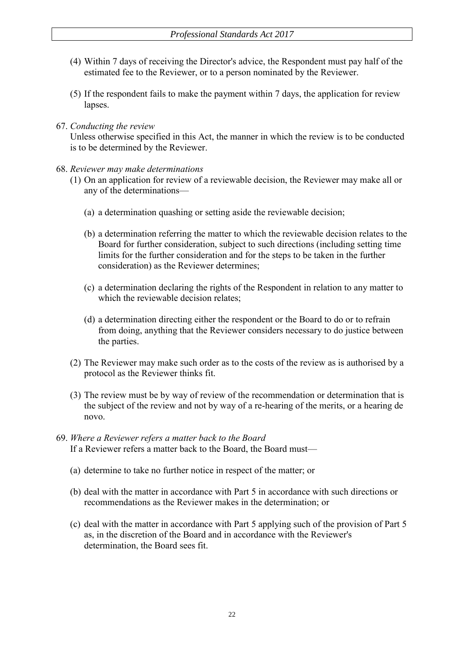- (4) Within 7 days of receiving the Director's advice, the Respondent must pay half of the estimated fee to the Reviewer, or to a person nominated by the Reviewer.
- (5) If the respondent fails to make the payment within 7 days, the application for review lapses.
- 67. *Conducting the review*

Unless otherwise specified in this Act, the manner in which the review is to be conducted is to be determined by the Reviewer.

- 68. *Reviewer may make determinations*
	- (1) On an application for review of a reviewable decision, the Reviewer may make all or any of the determinations—
		- (a) a determination quashing or setting aside the reviewable decision;
		- (b) a determination referring the matter to which the reviewable decision relates to the Board for further consideration, subject to such directions (including setting time limits for the further consideration and for the steps to be taken in the further consideration) as the Reviewer determines;
		- (c) a determination declaring the rights of the Respondent in relation to any matter to which the reviewable decision relates;
		- (d) a determination directing either the respondent or the Board to do or to refrain from doing, anything that the Reviewer considers necessary to do justice between the parties.
	- (2) The Reviewer may make such order as to the costs of the review as is authorised by a protocol as the Reviewer thinks fit.
	- (3) The review must be by way of review of the recommendation or determination that is the subject of the review and not by way of a re-hearing of the merits, or a hearing de novo.
- 69. *Where a Reviewer refers a matter back to the Board* If a Reviewer refers a matter back to the Board, the Board must—
	- (a) determine to take no further notice in respect of the matter; or
	- (b) deal with the matter in accordance with Part 5 in accordance with such directions or recommendations as the Reviewer makes in the determination; or
	- (c) deal with the matter in accordance with Part 5 applying such of the provision of Part 5 as, in the discretion of the Board and in accordance with the Reviewer's determination, the Board sees fit.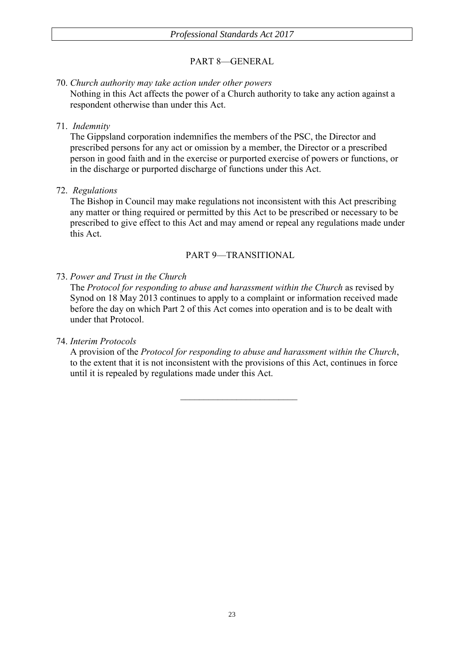# PART 8—GENERAL

### 70. *Church authority may take action under other powers* Nothing in this Act affects the power of a Church authority to take any action against a respondent otherwise than under this Act.

### 71. *Indemnity*

The Gippsland corporation indemnifies the members of the PSC, the Director and prescribed persons for any act or omission by a member, the Director or a prescribed person in good faith and in the exercise or purported exercise of powers or functions, or in the discharge or purported discharge of functions under this Act.

### 72. *Regulations*

The Bishop in Council may make regulations not inconsistent with this Act prescribing any matter or thing required or permitted by this Act to be prescribed or necessary to be prescribed to give effect to this Act and may amend or repeal any regulations made under this Act.

### PART 9—TRANSITIONAL

## 73. *Power and Trust in the Church*

The *Protocol for responding to abuse and harassment within the Church* as revised by Synod on 18 May 2013 continues to apply to a complaint or information received made before the day on which Part 2 of this Act comes into operation and is to be dealt with under that Protocol.

## 74. *Interim Protocols*

A provision of the *Protocol for responding to abuse and harassment within the Church*, to the extent that it is not inconsistent with the provisions of this Act, continues in force until it is repealed by regulations made under this Act.

 $\mathcal{L}_\text{max}$